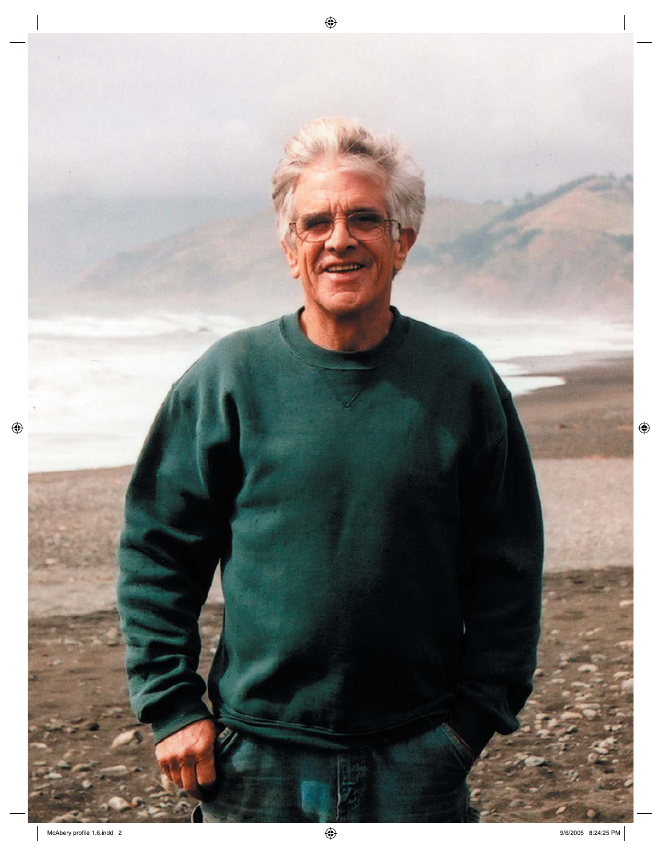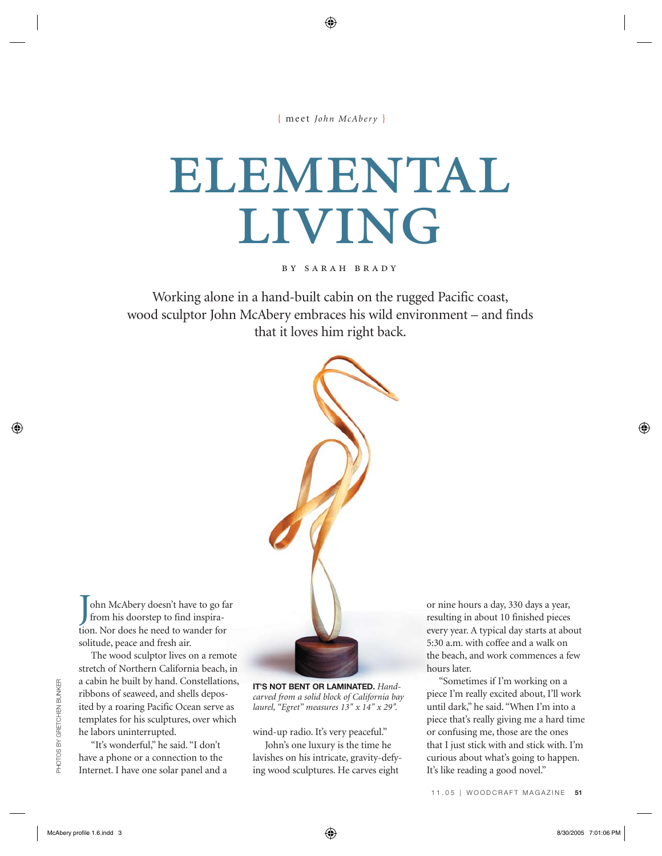{ meet *John McAbery* }

⊕

# elemental living

# by sarah brady

Working alone in a hand-built cabin on the rugged Pacific coast, wood sculptor John McAbery embraces his wild environment – and finds that it loves him right back.



John McAbery doesn't have to go fa<br>from his doorstep to find inspira-<br>tion. Nor does he need to wander for ohn McAbery doesn't have to go far from his doorstep to find inspirasolitude, peace and fresh air.

The wood sculptor lives on a remote stretch of Northern California beach, in a cabin he built by hand. Constellations, ribbons of seaweed, and shells deposited by a roaring Pacific Ocean serve as templates for his sculptures, over which he labors uninterrupted.

"It's wonderful," he said. "I don't have a phone or a connection to the Internet. I have one solar panel and a **IT'S NOT BENT OR LAMINATED.** *Handcarved from a solid block of California bay laurel, "Egret" measures 13" x 14" x 29".* 

wind-up radio. It's very peaceful." John's one luxury is the time he lavishes on his intricate, gravity-defying wood sculptures. He carves eight

or nine hours a day, 330 days a year, resulting in about 10 finished pieces every year. A typical day starts at about 5:30 a.m. with coffee and a walk on the beach, and work commences a few hours later.

"Sometimes if I'm working on a piece I'm really excited about, I'll work until dark," he said. "When I'm into a piece that's really giving me a hard time or confusing me, those are the ones that I just stick with and stick with. I'm curious about what's going to happen. It's like reading a good novel."

11.05 | WOODCRAFT MAGAZINE **51**

⊕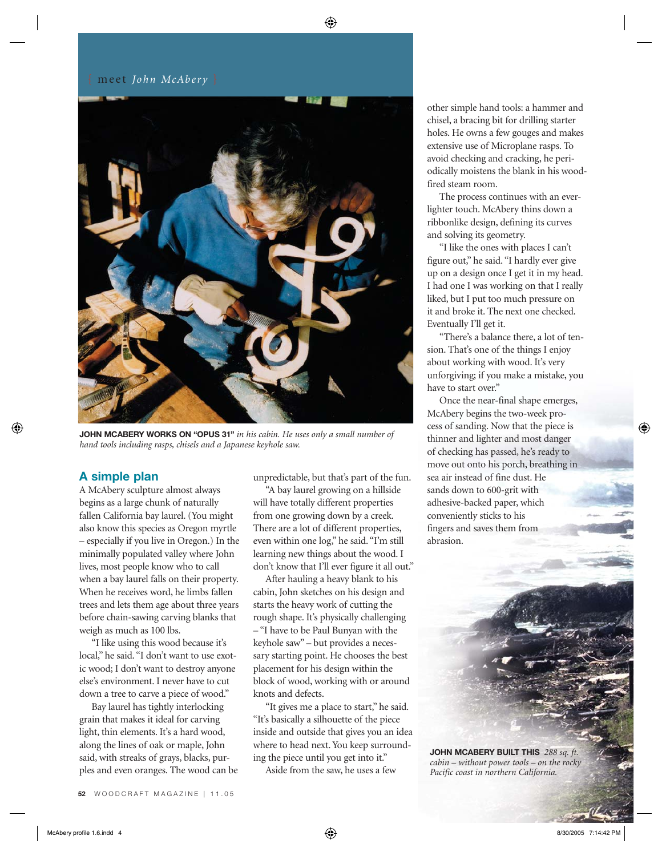{ meet *John McAbery* }



**JOHN MCABERY WORKS ON "OPUS 31"** *in his cabin. He uses only a small number of hand tools including rasps, chisels and a Japanese keyhole saw.*

# **A simple plan**

A McAbery sculpture almost always begins as a large chunk of naturally fallen California bay laurel. (You might also know this species as Oregon myrtle – especially if you live in Oregon.) In the minimally populated valley where John lives, most people know who to call when a bay laurel falls on their property. When he receives word, he limbs fallen trees and lets them age about three years before chain-sawing carving blanks that weigh as much as 100 lbs.

"I like using this wood because it's local," he said. "I don't want to use exotic wood; I don't want to destroy anyone else's environment. I never have to cut down a tree to carve a piece of wood."

Bay laurel has tightly interlocking grain that makes it ideal for carving light, thin elements. It's a hard wood, along the lines of oak or maple, John said, with streaks of grays, blacks, purples and even oranges. The wood can be unpredictable, but that's part of the fun.

⊕

"A bay laurel growing on a hillside will have totally different properties from one growing down by a creek. There are a lot of different properties, even within one log," he said. "I'm still learning new things about the wood. I don't know that I'll ever figure it all out."

After hauling a heavy blank to his cabin, John sketches on his design and starts the heavy work of cutting the rough shape. It's physically challenging – "I have to be Paul Bunyan with the keyhole saw" – but provides a necessary starting point. He chooses the best placement for his design within the block of wood, working with or around knots and defects.

"It gives me a place to start," he said. "It's basically a silhouette of the piece inside and outside that gives you an idea where to head next. You keep surrounding the piece until you get into it."

Aside from the saw, he uses a few

other simple hand tools: a hammer and chisel, a bracing bit for drilling starter holes. He owns a few gouges and makes extensive use of Microplane rasps. To avoid checking and cracking, he periodically moistens the blank in his woodfired steam room.

The process continues with an everlighter touch. McAbery thins down a ribbonlike design, defining its curves and solving its geometry.

"I like the ones with places I can't figure out," he said. "I hardly ever give up on a design once I get it in my head. I had one I was working on that I really liked, but I put too much pressure on it and broke it. The next one checked. Eventually I'll get it.

"There's a balance there, a lot of tension. That's one of the things I enjoy about working with wood. It's very unforgiving; if you make a mistake, you have to start over."

Once the near-final shape emerges, McAbery begins the two-week process of sanding. Now that the piece is thinner and lighter and most danger of checking has passed, he's ready to move out onto his porch, breathing in sea air instead of fine dust. He sands down to 600-grit with adhesive-backed paper, which conveniently sticks to his fingers and saves them from abrasion.



**JOHN MCABERY BUILT THIS** *288 sq. ft. cabin – without power tools – on the rocky Pacific coast in northern California.* 

**52** WOODCRAFT MAGAZINE | 11.05

McAbery profile 1.6.indd 4 8/30/2005 7:14:42 PM

◈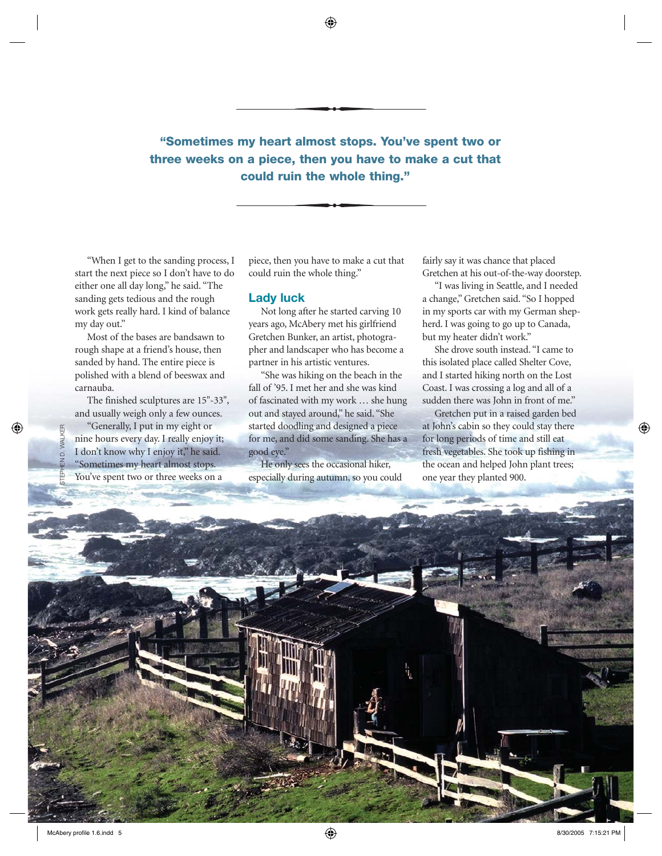**"Sometimes my heart almost stops. You've spent two or three weeks on a piece, then you have to make a cut that could ruin the whole thing."**

⊕

"When I get to the sanding process, I start the next piece so I don't have to do either one all day long," he said. "The sanding gets tedious and the rough work gets really hard. I kind of balance my day out."

Most of the bases are bandsawn to rough shape at a friend's house, then sanded by hand. The entire piece is polished with a blend of beeswax and carnauba.

The finished sculptures are 15"-33", and usually weigh only a few ounces.

"Generally, I put in my eight or nine hours every day. I really enjoy it; I don't know why I enjoy it," he said. "Sometimes my heart almost stops. You've spent two or three weeks on a

STEPHEN D. WALKER

◈

piece, then you have to make a cut that could ruin the whole thing."

#### **Lady luck**

Not long after he started carving 10 years ago, McAbery met his girlfriend Gretchen Bunker, an artist, photographer and landscaper who has become a partner in his artistic ventures.

"She was hiking on the beach in the fall of '95. I met her and she was kind of fascinated with my work … she hung out and stayed around," he said. "She started doodling and designed a piece for me, and did some sanding. She has a good eye."

He only sees the occasional hiker, especially during autumn, so you could fairly say it was chance that placed Gretchen at his out-of-the-way doorstep.

"I was living in Seattle, and I needed a change," Gretchen said. "So I hopped in my sports car with my German shepherd. I was going to go up to Canada, but my heater didn't work."

She drove south instead. "I came to this isolated place called Shelter Cove, and I started hiking north on the Lost Coast. I was crossing a log and all of a sudden there was John in front of me."

Gretchen put in a raised garden bed at John's cabin so they could stay there for long periods of time and still eat fresh vegetables. She took up fishing in the ocean and helped John plant trees; one year they planted 900.

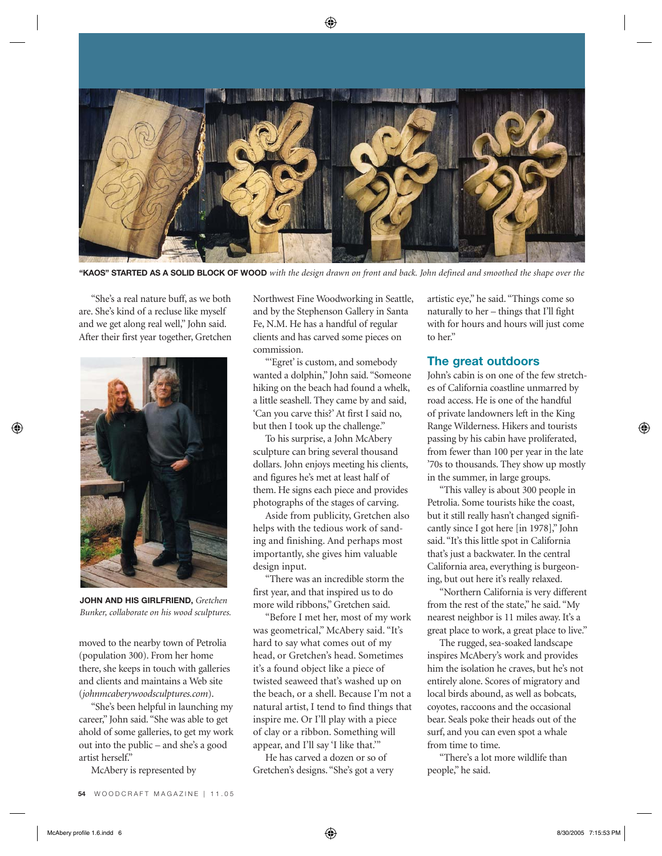

⊕

**"KAOS" STARTED AS A SOLID BLOCK OF WOOD** *with the design drawn on front and back. John defined and smoothed the shape over the* 

"She's a real nature buff, as we both are. She's kind of a recluse like myself and we get along real well," John said. After their first year together, Gretchen



**JOHN AND HIS GIRLFRIEND,** *Gretchen Bunker, collaborate on his wood sculptures.*

moved to the nearby town of Petrolia (population 300). From her home there, she keeps in touch with galleries and clients and maintains a Web site (*johnmcaberywoodsculptures.com*).

"She's been helpful in launching my career," John said. "She was able to get ahold of some galleries, to get my work out into the public – and she's a good artist herself."

McAbery is represented by

**54** WOODCRAFT MAGAZINE | 11.05

Northwest Fine Woodworking in Seattle, and by the Stephenson Gallery in Santa Fe, N.M. He has a handful of regular clients and has carved some pieces on commission.

"'Egret' is custom, and somebody wanted a dolphin," John said. "Someone hiking on the beach had found a whelk, a little seashell. They came by and said, 'Can you carve this?' At first I said no, but then I took up the challenge."

To his surprise, a John McAbery sculpture can bring several thousand dollars. John enjoys meeting his clients, and figures he's met at least half of them. He signs each piece and provides photographs of the stages of carving.

Aside from publicity, Gretchen also helps with the tedious work of sanding and finishing. And perhaps most importantly, she gives him valuable design input.

"There was an incredible storm the first year, and that inspired us to do more wild ribbons," Gretchen said.

"Before I met her, most of my work was geometrical," McAbery said. "It's hard to say what comes out of my head, or Gretchen's head. Sometimes it's a found object like a piece of twisted seaweed that's washed up on the beach, or a shell. Because I'm not a natural artist, I tend to find things that inspire me. Or I'll play with a piece of clay or a ribbon. Something will appear, and I'll say 'I like that.'"

He has carved a dozen or so of Gretchen's designs. "She's got a very artistic eye," he said. "Things come so naturally to her – things that I'll fight with for hours and hours will just come to her."

### **The great outdoors**

John's cabin is on one of the few stretches of California coastline unmarred by road access. He is one of the handful of private landowners left in the King Range Wilderness. Hikers and tourists passing by his cabin have proliferated, from fewer than 100 per year in the late '70s to thousands. They show up mostly in the summer, in large groups.

"This valley is about 300 people in Petrolia. Some tourists hike the coast, but it still really hasn't changed significantly since I got here [in 1978]," John said. "It's this little spot in California that's just a backwater. In the central California area, everything is burgeoning, but out here it's really relaxed.

"Northern California is very different from the rest of the state," he said. "My nearest neighbor is 11 miles away. It's a great place to work, a great place to live."

The rugged, sea-soaked landscape inspires McAbery's work and provides him the isolation he craves, but he's not entirely alone. Scores of migratory and local birds abound, as well as bobcats, coyotes, raccoons and the occasional bear. Seals poke their heads out of the surf, and you can even spot a whale from time to time.

"There's a lot more wildlife than people," he said.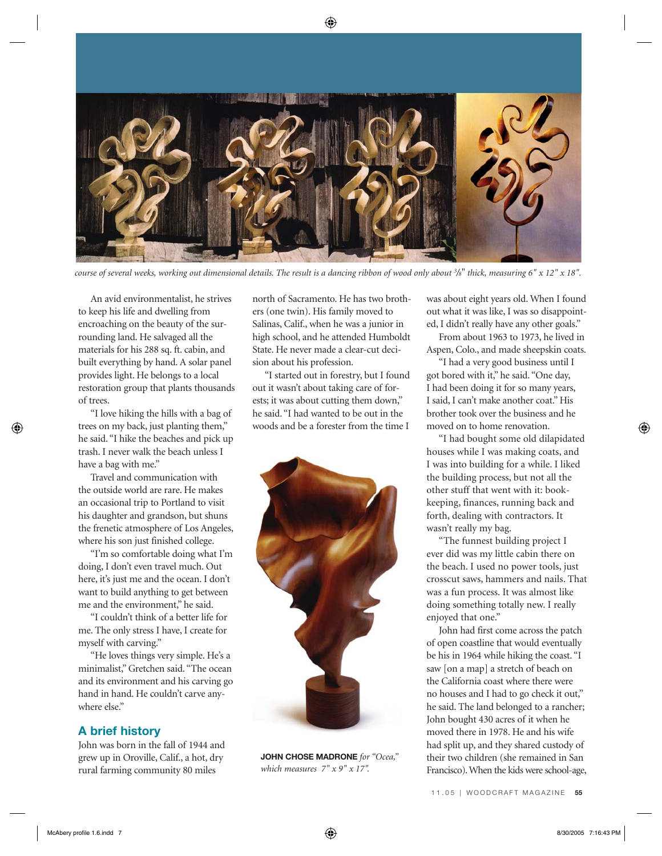

⊕

*course of several weeks, working out dimensional details. The result is a dancing ribbon of wood only about 3 /8*" *thick, measuring 6" x 12" x 18".* 

An avid environmentalist, he strives to keep his life and dwelling from encroaching on the beauty of the surrounding land. He salvaged all the materials for his 288 sq. ft. cabin, and built everything by hand. A solar panel provides light. He belongs to a local restoration group that plants thousands of trees.

"I love hiking the hills with a bag of trees on my back, just planting them," he said. "I hike the beaches and pick up trash. I never walk the beach unless I have a bag with me."

Travel and communication with the outside world are rare. He makes an occasional trip to Portland to visit his daughter and grandson, but shuns the frenetic atmosphere of Los Angeles, where his son just finished college.

"I'm so comfortable doing what I'm doing, I don't even travel much. Out here, it's just me and the ocean. I don't want to build anything to get between me and the environment," he said.

"I couldn't think of a better life for me. The only stress I have, I create for myself with carving."

"He loves things very simple. He's a minimalist," Gretchen said. "The ocean and its environment and his carving go hand in hand. He couldn't carve anywhere else."

## **A brief history**

John was born in the fall of 1944 and grew up in Oroville, Calif., a hot, dry rural farming community 80 miles

north of Sacramento. He has two brothers (one twin). His family moved to Salinas, Calif., when he was a junior in high school, and he attended Humboldt State. He never made a clear-cut decision about his profession.

"I started out in forestry, but I found out it wasn't about taking care of forests; it was about cutting them down," he said. "I had wanted to be out in the woods and be a forester from the time I



**JOHN CHOSE MADRONE** *for "Ocea," which measures 7" x 9" x 17".*

was about eight years old. When I found out what it was like, I was so disappointed, I didn't really have any other goals."

From about 1963 to 1973, he lived in Aspen, Colo., and made sheepskin coats.

"I had a very good business until I got bored with it," he said. "One day, I had been doing it for so many years, I said, I can't make another coat." His brother took over the business and he moved on to home renovation.

"I had bought some old dilapidated houses while I was making coats, and I was into building for a while. I liked the building process, but not all the other stuff that went with it: bookkeeping, finances, running back and forth, dealing with contractors. It wasn't really my bag.

"The funnest building project I ever did was my little cabin there on the beach. I used no power tools, just crosscut saws, hammers and nails. That was a fun process. It was almost like doing something totally new. I really enjoyed that one."

John had first come across the patch of open coastline that would eventually be his in 1964 while hiking the coast. "I saw [on a map] a stretch of beach on the California coast where there were no houses and I had to go check it out," he said. The land belonged to a rancher; John bought 430 acres of it when he moved there in 1978. He and his wife had split up, and they shared custody of their two children (she remained in San Francisco). When the kids were school-age,

11.05 | WOODCRAFT MAGAZINE **55**

McAbery profile 1.6.indd 7 8/30/2005 7:16:43 PM 8/30/2005 7:16:43 PM